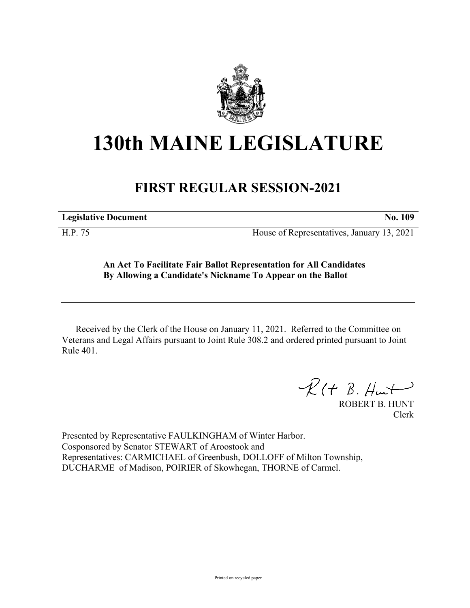

## **130th MAINE LEGISLATURE**

## **FIRST REGULAR SESSION-2021**

**Legislative Document No. 109**

H.P. 75 House of Representatives, January 13, 2021

## **An Act To Facilitate Fair Ballot Representation for All Candidates By Allowing a Candidate's Nickname To Appear on the Ballot**

Received by the Clerk of the House on January 11, 2021. Referred to the Committee on Veterans and Legal Affairs pursuant to Joint Rule 308.2 and ordered printed pursuant to Joint Rule 401.

 $R(H B. H<sub>un</sub>+)$ 

ROBERT B. HUNT Clerk

Presented by Representative FAULKINGHAM of Winter Harbor. Cosponsored by Senator STEWART of Aroostook and Representatives: CARMICHAEL of Greenbush, DOLLOFF of Milton Township, DUCHARME of Madison, POIRIER of Skowhegan, THORNE of Carmel.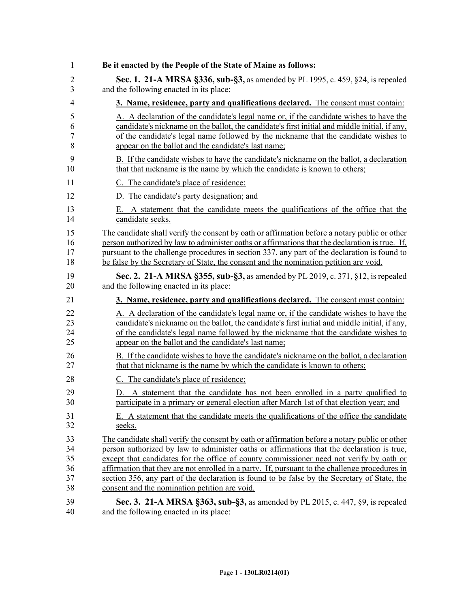| 1                | Be it enacted by the People of the State of Maine as follows:                                            |
|------------------|----------------------------------------------------------------------------------------------------------|
| 2                | Sec. 1. 21-A MRSA §336, sub-§3, as amended by PL 1995, c. 459, §24, is repealed                          |
| 3                | and the following enacted in its place:                                                                  |
| 4                | 3. Name, residence, party and qualifications declared. The consent must contain:                         |
| 5                | A. A declaration of the candidate's legal name or, if the candidate wishes to have the                   |
| 6                | candidate's nickname on the ballot, the candidate's first initial and middle initial, if any,            |
| $\boldsymbol{7}$ | of the candidate's legal name followed by the nickname that the candidate wishes to                      |
| 8                | appear on the ballot and the candidate's last name;                                                      |
| 9                | B. If the candidate wishes to have the candidate's nickname on the ballot, a declaration                 |
| 10               | that that nickname is the name by which the candidate is known to others;                                |
| 11               | C. The candidate's place of residence;                                                                   |
| 12               | D. The candidate's party designation; and                                                                |
| 13<br>14         | A statement that the candidate meets the qualifications of the office that the<br>E.<br>candidate seeks. |
| 15               | The candidate shall verify the consent by oath or affirmation before a notary public or other            |
| 16               | person authorized by law to administer oaths or affirmations that the declaration is true. If,           |
| 17               | pursuant to the challenge procedures in section 337, any part of the declaration is found to             |
| 18               | be false by the Secretary of State, the consent and the nomination petition are void.                    |
| 19               | Sec. 2. 21-A MRSA §355, sub-§3, as amended by PL 2019, c. 371, §12, is repealed                          |
| 20               | and the following enacted in its place:                                                                  |
| 21               | 3. Name, residence, party and qualifications declared. The consent must contain:                         |
| 22               | A. A declaration of the candidate's legal name or, if the candidate wishes to have the                   |
| 23               | candidate's nickname on the ballot, the candidate's first initial and middle initial, if any,            |
| 24               | of the candidate's legal name followed by the nickname that the candidate wishes to                      |
| 25               | appear on the ballot and the candidate's last name;                                                      |
| 26               | B. If the candidate wishes to have the candidate's nickname on the ballot, a declaration                 |
| 27               | that that nickname is the name by which the candidate is known to others;                                |
| 28               | C. The candidate's place of residence;                                                                   |
| 29               | D. A statement that the candidate has not been enrolled in a party qualified to                          |
| 30               | participate in a primary or general election after March 1st of that election year; and                  |
| 31               | E. A statement that the candidate meets the qualifications of the office the candidate                   |
| 32               | seeks.                                                                                                   |
| 33               | The candidate shall verify the consent by oath or affirmation before a notary public or other            |
| 34               | person authorized by law to administer oaths or affirmations that the declaration is true,               |
| 35               | except that candidates for the office of county commissioner need not verify by oath or                  |
| 36               | affirmation that they are not enrolled in a party. If, pursuant to the challenge procedures in           |
| 37               | section 356, any part of the declaration is found to be false by the Secretary of State, the             |
| 38               | consent and the nomination petition are void.                                                            |
| 39               | Sec. 3. 21-A MRSA §363, sub-§3, as amended by PL 2015, c. 447, §9, is repealed                           |
| 40               | and the following enacted in its place:                                                                  |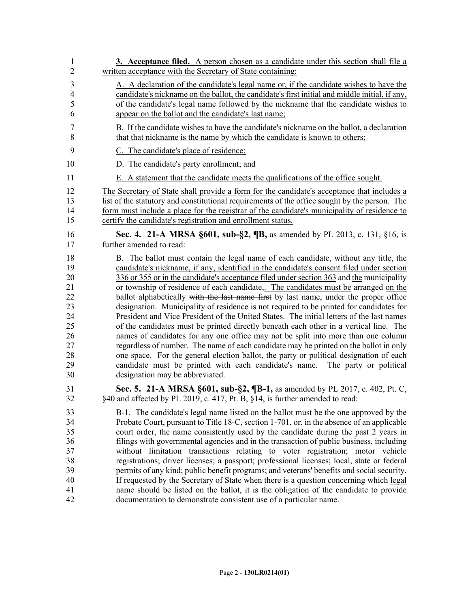| $\mathbf{1}$   | <b>3.</b> Acceptance filed. A person chosen as a candidate under this section shall file a       |
|----------------|--------------------------------------------------------------------------------------------------|
| $\overline{2}$ | written acceptance with the Secretary of State containing:                                       |
| $\mathfrak{Z}$ | A. A declaration of the candidate's legal name or, if the candidate wishes to have the           |
| 4              | candidate's nickname on the ballot, the candidate's first initial and middle initial, if any,    |
| 5              | of the candidate's legal name followed by the nickname that the candidate wishes to              |
| 6              | appear on the ballot and the candidate's last name;                                              |
| 7              | B. If the candidate wishes to have the candidate's nickname on the ballot, a declaration         |
| 8              | that that nickname is the name by which the candidate is known to others;                        |
| 9              | C. The candidate's place of residence;                                                           |
| 10             | D. The candidate's party enrollment; and                                                         |
| 11             | E. A statement that the candidate meets the qualifications of the office sought.                 |
| 12             | The Secretary of State shall provide a form for the candidate's acceptance that includes a       |
| 13             | list of the statutory and constitutional requirements of the office sought by the person. The    |
| 14             | form must include a place for the registrar of the candidate's municipality of residence to      |
| 15             | certify the candidate's registration and enrollment status.                                      |
| 16             | Sec. 4. 21-A MRSA §601, sub-§2, ¶B, as amended by PL 2013, c. 131, §16, is                       |
| 17             | further amended to read:                                                                         |
| 18             | B. The ballot must contain the legal name of each candidate, without any title, the              |
| 19             | candidate's nickname, if any, identified in the candidate's consent filed under section          |
| 20             | 336 or 355 or in the candidate's acceptance filed under section 363 and the municipality         |
| 21             | or township of residence of each candidate <sub>5</sub> . The candidates must be arranged on the |
| 22             | ballot alphabetically with the last name first by last name, under the proper office             |
| 23             | designation. Municipality of residence is not required to be printed for candidates for          |
| 24             | President and Vice President of the United States. The initial letters of the last names         |
| 25             | of the candidates must be printed directly beneath each other in a vertical line. The            |
| 26             | names of candidates for any one office may not be split into more than one column                |
| 27             | regardless of number. The name of each candidate may be printed on the ballot in only            |
| 28             | one space. For the general election ballot, the party or political designation of each           |
| 29             | candidate must be printed with each candidate's name. The party or political                     |
| 30             | designation may be abbreviated.                                                                  |
| 31             | Sec. 5. 21-A MRSA §601, sub-§2, ¶B-1, as amended by PL 2017, c. 402, Pt. C,                      |
| 32             | §40 and affected by PL 2019, c. 417, Pt. B, §14, is further amended to read:                     |
| 33             | B-1. The candidate's <u>legal</u> name listed on the ballot must be the one approved by the      |
| 34             | Probate Court, pursuant to Title 18-C, section 1-701, or, in the absence of an applicable        |
| 35             | court order, the name consistently used by the candidate during the past 2 years in              |
| 36             | filings with governmental agencies and in the transaction of public business, including          |
| 37             | without limitation transactions relating to voter registration; motor vehicle                    |
| 38             | registrations; driver licenses; a passport; professional licenses; local, state or federal       |
| 39             | permits of any kind; public benefit programs; and veterans' benefits and social security.        |
| 40             | If requested by the Secretary of State when there is a question concerning which legal           |
| 41             | name should be listed on the ballot, it is the obligation of the candidate to provide            |
| 42             | documentation to demonstrate consistent use of a particular name.                                |